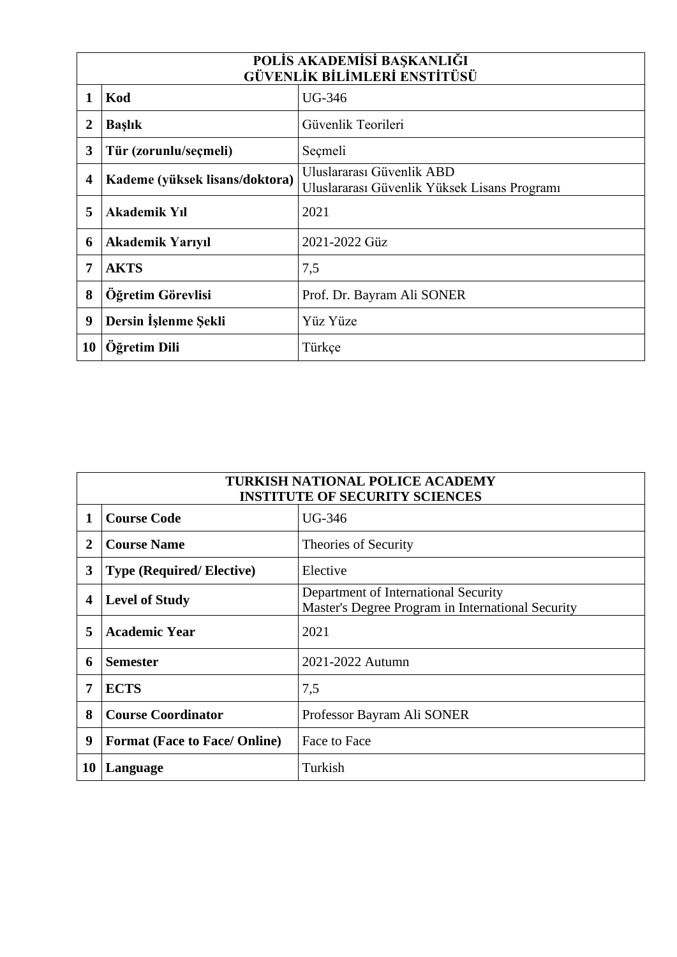| POLİS AKADEMİSİ BAŞKANLIĞI<br><b>GÜVENLİK BİLİMLERİ ENSTİTÜSÜ</b> |                                |                                                                           |  |
|-------------------------------------------------------------------|--------------------------------|---------------------------------------------------------------------------|--|
|                                                                   | Kod                            | UG-346                                                                    |  |
| $\boldsymbol{2}$                                                  | <b>Başlık</b>                  | Güvenlik Teorileri                                                        |  |
| 3                                                                 | Tür (zorunlu/seçmeli)          | Seçmeli                                                                   |  |
| $\overline{\mathbf{4}}$                                           | Kademe (yüksek lisans/doktora) | Uluslararası Güvenlik ABD<br>Uluslararası Güvenlik Yüksek Lisans Programı |  |
| 5                                                                 | <b>Akademik Yıl</b>            | 2021                                                                      |  |
| 6                                                                 | <b>Akademik Yarıyıl</b>        | 2021-2022 Güz                                                             |  |
| 7                                                                 | <b>AKTS</b>                    | 7,5                                                                       |  |
| 8                                                                 | Öğretim Görevlisi              | Prof. Dr. Bayram Ali SONER                                                |  |
| 9                                                                 | Dersin İşlenme Şekli           | Yüz Yüze                                                                  |  |
| 10                                                                | Öğretim Dili                   | Türkçe                                                                    |  |

| <b>TURKISH NATIONAL POLICE ACADEMY</b><br><b>INSTITUTE OF SECURITY SCIENCES</b> |                                      |                                                                                           |
|---------------------------------------------------------------------------------|--------------------------------------|-------------------------------------------------------------------------------------------|
|                                                                                 | <b>Course Code</b>                   | UG-346                                                                                    |
| $\mathbf{2}$                                                                    | <b>Course Name</b>                   | Theories of Security                                                                      |
| 3                                                                               | <b>Type (Required/Elective)</b>      | Elective                                                                                  |
| 4                                                                               | <b>Level of Study</b>                | Department of International Security<br>Master's Degree Program in International Security |
| 5                                                                               | <b>Academic Year</b>                 | 2021                                                                                      |
| 6                                                                               | <b>Semester</b>                      | 2021-2022 Autumn                                                                          |
| 7                                                                               | <b>ECTS</b>                          | 7,5                                                                                       |
| 8                                                                               | <b>Course Coordinator</b>            | Professor Bayram Ali SONER                                                                |
| 9                                                                               | <b>Format (Face to Face/ Online)</b> | Face to Face                                                                              |
| 10                                                                              | Language                             | Turkish                                                                                   |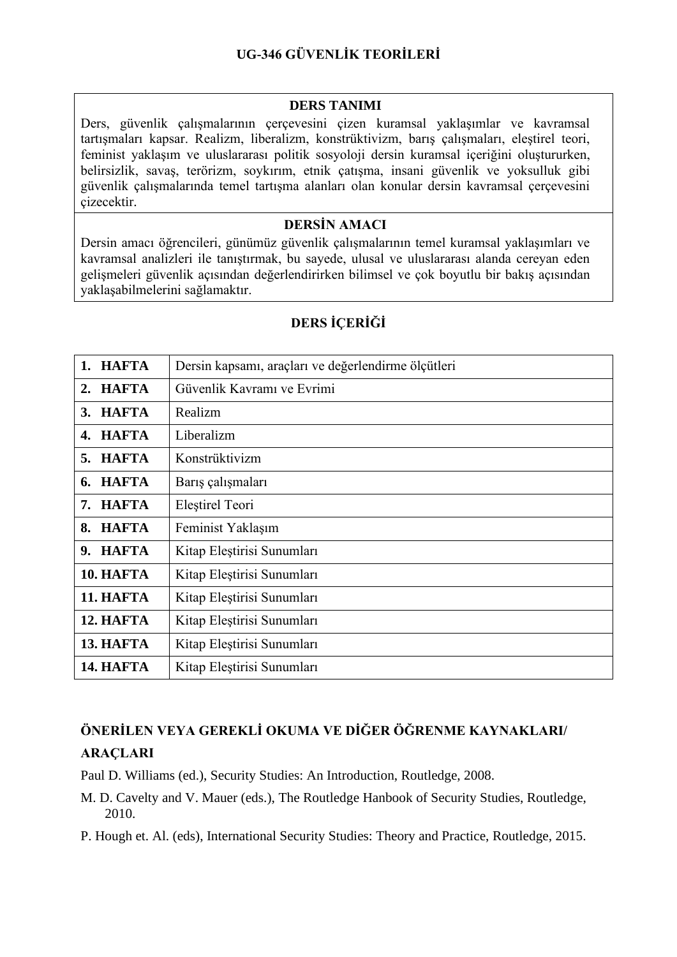#### **DERS TANIMI**

Ders, güvenlik çalışmalarının çerçevesini çizen kuramsal yaklaşımlar ve kavramsal tartışmaları kapsar. Realizm, liberalizm, konstrüktivizm, barış çalışmaları, eleştirel teori, feminist yaklaşım ve uluslararası politik sosyoloji dersin kuramsal içeriğini oluştururken, belirsizlik, savaş, terörizm, soykırım, etnik çatışma, insani güvenlik ve yoksulluk gibi güvenlik çalışmalarında temel tartışma alanları olan konular dersin kavramsal çerçevesini çizecektir.

### **DERSİN AMACI**

Dersin amacı öğrencileri, günümüz güvenlik çalışmalarının temel kuramsal yaklaşımları ve kavramsal analizleri ile tanıştırmak, bu sayede, ulusal ve uluslararası alanda cereyan eden gelişmeleri güvenlik açısından değerlendirirken bilimsel ve çok boyutlu bir bakış açısından yaklaşabilmelerini sağlamaktır.

| 1. HAFTA           | Dersin kapsamı, araçları ve değerlendirme ölçütleri |
|--------------------|-----------------------------------------------------|
| <b>HAFTA</b><br>2. | Güvenlik Kavramı ve Evrimi                          |
| <b>HAFTA</b><br>3. | Realizm                                             |
| 4. HAFTA           | Liberalizm                                          |
| <b>HAFTA</b><br>5. | Konstrüktivizm                                      |
| <b>HAFTA</b><br>6. | Barış çalışmaları                                   |
| <b>HAFTA</b><br>7. | Eleștirel Teori                                     |
| <b>HAFTA</b><br>8. | Feminist Yaklaşım                                   |
| 9. HAFTA           | Kitap Eleştirisi Sunumları                          |
| 10. HAFTA          | Kitap Eleştirisi Sunumları                          |
| <b>11. HAFTA</b>   | Kitap Eleştirisi Sunumları                          |
| 12. HAFTA          | Kitap Eleştirisi Sunumları                          |
| 13. HAFTA          | Kitap Eleştirisi Sunumları                          |
| 14. HAFTA          | Kitap Eleştirisi Sunumları                          |

# **DERS İÇERİĞİ**

# **ÖNERİLEN VEYA GEREKLİ OKUMA VE DİĞER ÖĞRENME KAYNAKLARI/ ARAÇLARI**

Paul D. Williams (ed.), Security Studies: An Introduction, Routledge, 2008.

M. D. Cavelty and V. Mauer (eds.), The Routledge Hanbook of Security Studies, Routledge, 2010.

P. Hough et. Al. (eds), International Security Studies: Theory and Practice, Routledge, 2015.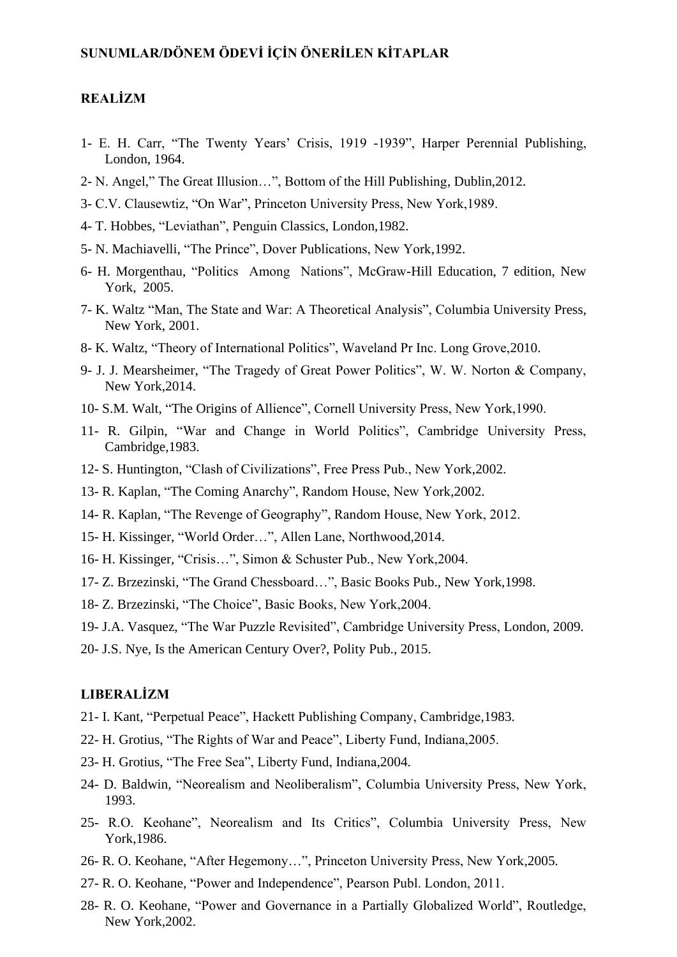### **SUNUMLAR/DÖNEM ÖDEVİ İÇİN ÖNERİLEN KİTAPLAR**

# **REALİZM**

- 1- E. H. Carr, "The Twenty Years' Crisis, 1919 -1939", Harper Perennial Publishing, London, 1964.
- 2- N. Angel," The Great Illusion…", Bottom of the Hill Publishing, Dublin,2012.
- 3- C.V. Clausewtiz, "On War", Princeton University Press, New York,1989.
- 4- T. Hobbes, "Leviathan", Penguin Classics, London,1982.
- 5- N. Machiavelli, "The Prince", Dover Publications, New York,1992.
- 6- H. Morgenthau, "Politics Among Nations", McGraw-Hill Education, 7 edition, New York, 2005.
- 7- K. Waltz "Man, The State and War: A Theoretical Analysis", Columbia University Press, New York, 2001.
- 8- K. Waltz, "Theory of International Politics", Waveland Pr Inc. Long Grove,2010.
- 9- J. J. Mearsheimer, "The Tragedy of Great Power Politics", W. W. Norton & Company, New York,2014.
- 10- S.M. Walt, "The Origins of Allience", Cornell University Press, New York,1990.
- 11- R. Gilpin, "War and Change in World Politics", Cambridge University Press, Cambridge,1983.
- 12- S. Huntington, "Clash of Civilizations", Free Press Pub., New York,2002.
- 13- R. Kaplan, "The Coming Anarchy", Random House, New York,2002.
- 14- R. Kaplan, "The Revenge of Geography", Random House, New York, 2012.
- 15- H. Kissinger, "World Order…", Allen Lane, Northwood,2014.
- 16- H. Kissinger, "Crisis…", Simon & Schuster Pub., New York,2004.
- 17- Z. Brzezinski, "The Grand Chessboard…", Basic Books Pub., New York,1998.
- 18- Z. Brzezinski, "The Choice", Basic Books, New York,2004.
- 19- J.A. Vasquez, "The War Puzzle Revisited", Cambridge University Press, London, 2009.
- 20- J.S. Nye, Is the American Century Over?, Polity Pub., 2015.

### **LIBERALİZM**

- 21- I. Kant, "Perpetual Peace", Hackett Publishing Company, Cambridge,1983.
- 22- H. Grotius, "The Rights of War and Peace", Liberty Fund, Indiana,2005.
- 23- H. Grotius, "The Free Sea", Liberty Fund, Indiana,2004.
- 24- D. Baldwin, "Neorealism and Neoliberalism", Columbia University Press, New York, 1993.
- 25- R.O. Keohane", Neorealism and Its Critics", Columbia University Press, New York,1986.
- 26- R. O. Keohane, "After Hegemony…", Princeton University Press, New York,2005.
- 27- R. O. Keohane, "Power and Independence", Pearson Publ. London, 2011.
- 28- R. O. Keohane, "Power and Governance in a Partially Globalized World", Routledge, New York,2002.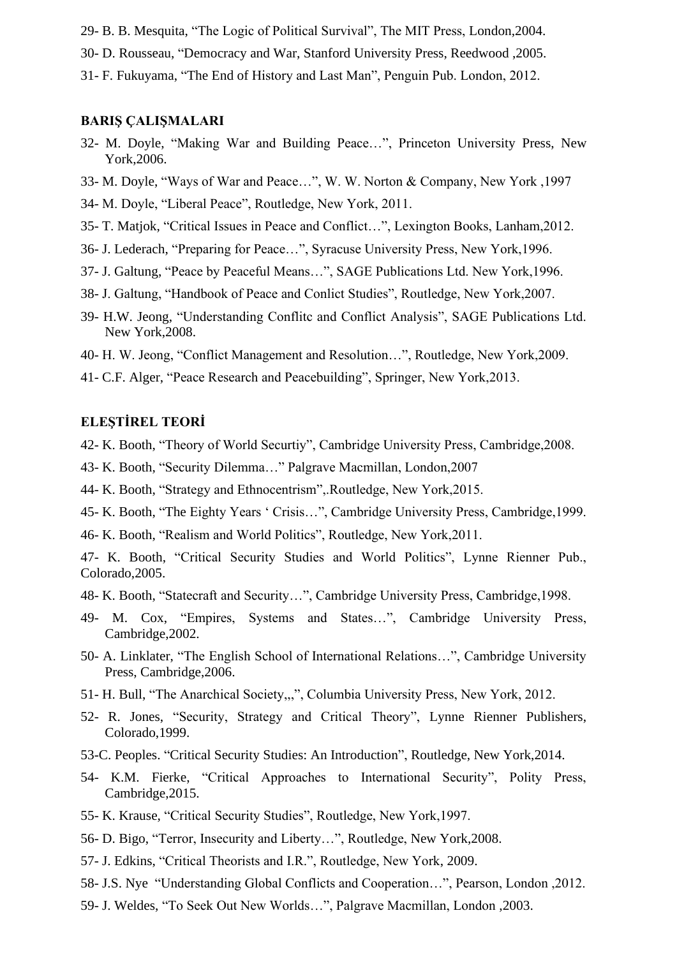29- B. B. Mesquita, "The Logic of Political Survival", The MIT Press, London,2004.

30- D. Rousseau, "Democracy and War, Stanford University Press, Reedwood ,2005.

31- F. Fukuyama, "The End of History and Last Man", Penguin Pub. London, 2012.

#### **BARIŞ ÇALIŞMALARI**

- 32- M. Doyle, "Making War and Building Peace…", Princeton University Press, New York,2006.
- 33- M. Doyle, "Ways of War and Peace…", W. W. Norton & Company, New York ,1997
- 34- M. Doyle, "Liberal Peace", Routledge, New York, 2011.
- 35- T. Matjok, "Critical Issues in Peace and Conflict…", Lexington Books, Lanham,2012.
- 36- J. Lederach, "Preparing for Peace…", Syracuse University Press, New York,1996.
- 37- J. Galtung, "Peace by Peaceful Means…", SAGE Publications Ltd. New York,1996.
- 38- J. Galtung, "Handbook of Peace and Conlict Studies", Routledge, New York,2007.
- 39- H.W. Jeong, "Understanding Conflitc and Conflict Analysis", SAGE Publications Ltd. New York,2008.
- 40- H. W. Jeong, "Conflict Management and Resolution…", Routledge, New York,2009.
- 41- C.F. Alger, "Peace Research and Peacebuilding", Springer, New York,2013.

#### **ELEŞTİREL TEORİ**

- 42- K. Booth, "Theory of World Securtiy", Cambridge University Press, Cambridge,2008.
- 43- K. Booth, "Security Dilemma…" Palgrave Macmillan, London,2007
- 44- K. Booth, "Strategy and Ethnocentrism",.Routledge, New York,2015.
- 45- K. Booth, "The Eighty Years ' Crisis…", Cambridge University Press, Cambridge,1999.
- 46- K. Booth, "Realism and World Politics", Routledge, New York,2011.

47- K. Booth, "Critical Security Studies and World Politics", Lynne Rienner Pub., Colorado,2005.

- 48- K. Booth, "Statecraft and Security…", Cambridge University Press, Cambridge,1998.
- 49- M. Cox, "Empires, Systems and States…", Cambridge University Press, Cambridge,2002.
- 50- A. Linklater, "The English School of International Relations…", Cambridge University Press, Cambridge,2006.
- 51- H. Bull, "The Anarchical Society,,,", Columbia University Press, New York, 2012.
- 52- R. Jones, "Security, Strategy and Critical Theory", Lynne Rienner Publishers, Colorado,1999.
- 53-C. Peoples. "Critical Security Studies: An Introduction", Routledge, New York,2014.
- 54- K.M. Fierke, "Critical Approaches to International Security", Polity Press, Cambridge,2015.
- 55- K. Krause, "Critical Security Studies", Routledge, New York,1997.
- 56- D. Bigo, "Terror, Insecurity and Liberty…", Routledge, New York,2008.
- 57- J. Edkins, "Critical Theorists and I.R.", Routledge, New York, 2009.
- 58- J.S. Nye "Understanding Global Conflicts and Cooperation…", Pearson, London ,2012.
- 59- J. Weldes, "To Seek Out New Worlds…", Palgrave Macmillan, London ,2003.